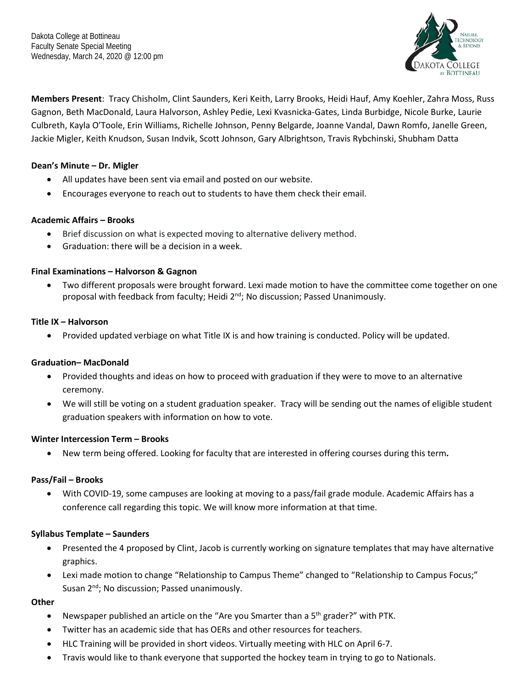

**Members Present**: Tracy Chisholm, Clint Saunders, Keri Keith, Larry Brooks, Heidi Hauf, Amy Koehler, Zahra Moss, Russ Gagnon, Beth MacDonald, Laura Halvorson, Ashley Pedie, Lexi Kvasnicka-Gates, Linda Burbidge, Nicole Burke, Laurie Culbreth, Kayla O'Toole, Erin Williams, Richelle Johnson, Penny Belgarde, Joanne Vandal, Dawn Romfo, Janelle Green, Jackie Migler, Keith Knudson, Susan Indvik, Scott Johnson, Gary Albrightson, Travis Rybchinski, Shubham Datta

## **Dean's Minute – Dr. Migler**

- All updates have been sent via email and posted on our website.
- Encourages everyone to reach out to students to have them check their email.

## **Academic Affairs – Brooks**

- Brief discussion on what is expected moving to alternative delivery method.
- Graduation: there will be a decision in a week.

## **Final Examinations – Halvorson & Gagnon**

Two different proposals were brought forward. Lexi made motion to have the committee come together on one proposal with feedback from faculty; Heidi 2<sup>nd</sup>; No discussion; Passed Unanimously.

## **Title IX – Halvorson**

• Provided updated verbiage on what Title IX is and how training is conducted. Policy will be updated.

## **Graduation– MacDonald**

- Provided thoughts and ideas on how to proceed with graduation if they were to move to an alternative ceremony.
- We will still be voting on a student graduation speaker. Tracy will be sending out the names of eligible student graduation speakers with information on how to vote.

## **Winter Intercession Term – Brooks**

• New term being offered. Looking for faculty that are interested in offering courses during this term**.** 

#### **Pass/Fail – Brooks**

• With COVID-19, some campuses are looking at moving to a pass/fail grade module. Academic Affairs has a conference call regarding this topic. We will know more information at that time.

## **Syllabus Template – Saunders**

- Presented the 4 proposed by Clint, Jacob is currently working on signature templates that may have alternative graphics.
- Lexi made motion to change "Relationship to Campus Theme" changed to "Relationship to Campus Focus;" Susan 2<sup>nd</sup>; No discussion; Passed unanimously.

#### **Other**

- Newspaper published an article on the "Are you Smarter than a 5<sup>th</sup> grader?" with PTK.
- Twitter has an academic side that has OERs and other resources for teachers.
- HLC Training will be provided in short videos. Virtually meeting with HLC on April 6-7.
- Travis would like to thank everyone that supported the hockey team in trying to go to Nationals.